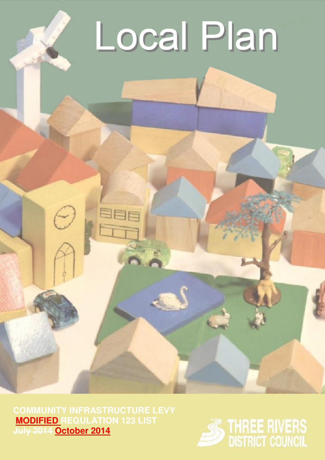## Local Plan

**MODIFIED REGULATION 123 LIST July 2014 October 2014**